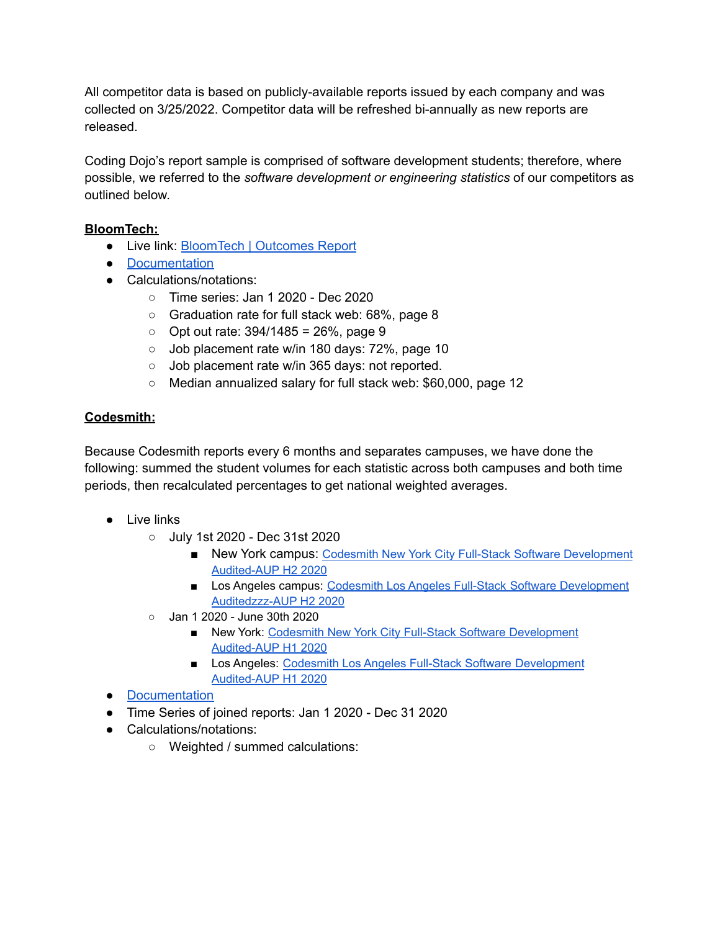All competitor data is based on publicly-available reports issued by each company and was collected on 3/25/2022. Competitor data will be refreshed bi-annually as new reports are released.

Coding Dojo's report sample is comprised of software development students; therefore, where possible, we referred to the *software development or engineering statistics* of our competitors as outlined below.

## **BloomTech:**

- Live link: [BloomTech](https://www.bloomtech.com/reports/outcomes-report) | Outcomes Report
- [Documentation](https://drive.google.com/file/d/17fvpgk7A9UJqy3_slq1nJ8iFb1YBDWn8/view?usp=sharing)
- Calculations/notations:
	- Time series: Jan 1 2020 Dec 2020
	- Graduation rate for full stack web: 68%, page 8
	- $\circ$  Opt out rate: 394/1485 = 26%, page 9
	- Job placement rate w/in 180 days: 72%, page 10
	- Job placement rate w/in 365 days: not reported.
	- Median annualized salary for full stack web: \$60,000, page 12

# **Codesmith:**

Because Codesmith reports every 6 months and separates campuses, we have done the following: summed the student volumes for each statistic across both campuses and both time periods, then recalculated percentages to get national weighted averages.

- Live links
	- July 1st 2020 Dec 31st 2020
		- New York campus: Codesmith New York City Full-Stack Software [Development](https://static.spacecrafted.com/b13328575ece40d8853472b9e0cf2047/r/c7000dff043446d4bd431b2dc6f30b97/1/Codesmith%20New%20York%20City%20Full-Stack%20Software%20Development%20Audited-AUP%20H2%202020.pdf) [Audited-AUP](https://static.spacecrafted.com/b13328575ece40d8853472b9e0cf2047/r/c7000dff043446d4bd431b2dc6f30b97/1/Codesmith%20New%20York%20City%20Full-Stack%20Software%20Development%20Audited-AUP%20H2%202020.pdf) H2 2020
		- Los Angeles campus: Codesmith Los Angeles Full-Stack Software [Development](https://static.spacecrafted.com/b13328575ece40d8853472b9e0cf2047/r/eb6e615ccddf47e9a891a9c69f223025/1/Codesmith%20Los%20Angeles%20Full-Stack%20Software%20Development%20Audited-AUP%20H2%202020.pdf) [Auditedzzz-AUP](https://static.spacecrafted.com/b13328575ece40d8853472b9e0cf2047/r/eb6e615ccddf47e9a891a9c69f223025/1/Codesmith%20Los%20Angeles%20Full-Stack%20Software%20Development%20Audited-AUP%20H2%202020.pdf) H2 2020
	- Jan 1 2020 June 30th 2020
		- New York: Codesmith New York City Full-Stack Software [Development](https://static.spacecrafted.com/b13328575ece40d8853472b9e0cf2047/r/e750b59d4a7c4d9097c7830c289d8043/1/Codesmith%20New%20York%20City%20Full-Stack%20Software%20Development%20Audited-AUP%20H1%202020.pdf) [Audited-AUP](https://static.spacecrafted.com/b13328575ece40d8853472b9e0cf2047/r/e750b59d4a7c4d9097c7830c289d8043/1/Codesmith%20New%20York%20City%20Full-Stack%20Software%20Development%20Audited-AUP%20H1%202020.pdf) H1 2020
		- Los Angeles: Codesmith Los Angeles Full-Stack Software [Development](https://static.spacecrafted.com/b13328575ece40d8853472b9e0cf2047/r/d180f6049d1a4fd1b78af623e270c636/1/Codesmith%20Los%20Angeles%20Full-Stack%20Software%20Development%20Audited-AUP%20H1%202020.pdf) [Audited-AUP](https://static.spacecrafted.com/b13328575ece40d8853472b9e0cf2047/r/d180f6049d1a4fd1b78af623e270c636/1/Codesmith%20Los%20Angeles%20Full-Stack%20Software%20Development%20Audited-AUP%20H1%202020.pdf) H1 2020
- [Documentation](https://drive.google.com/drive/folders/1IPG5vebpjN3CFDfqDnHSWWN81hxJGn8V?usp=sharing)
- Time Series of joined reports: Jan 1 2020 Dec 31 2020
- Calculations/notations:
	- Weighted / summed calculations: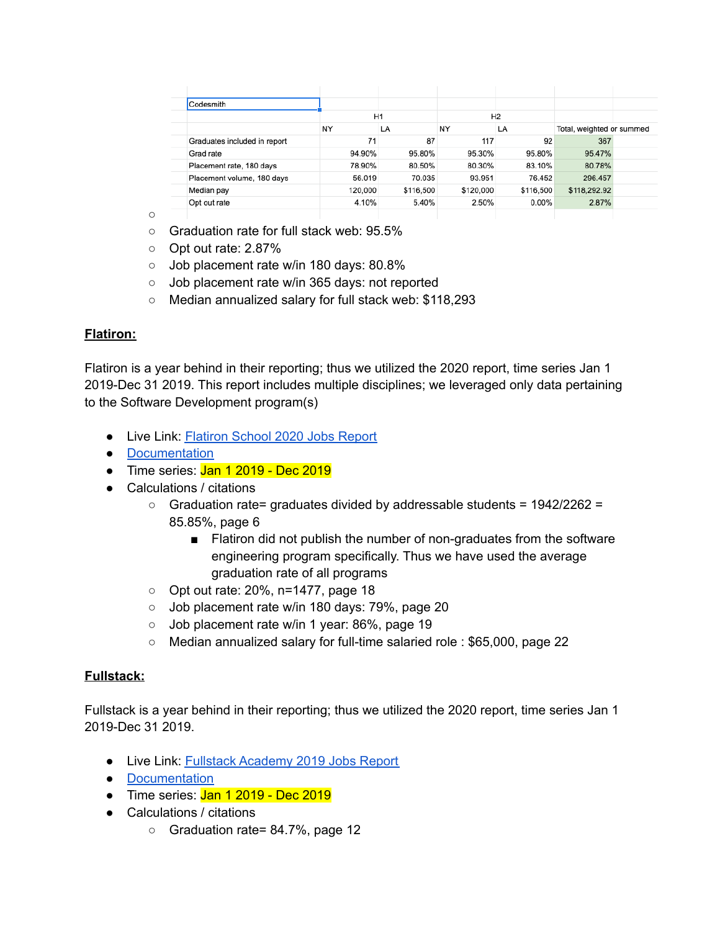| Codesmith                    |         |           |                |           |                           |  |
|------------------------------|---------|-----------|----------------|-----------|---------------------------|--|
|                              | H1      |           | H <sub>2</sub> |           |                           |  |
|                              | NY      | LA        | NY             | LA        | Total, weighted or summed |  |
| Graduates included in report | 71      | 87        | 117            | 92        | 367                       |  |
| Grad rate                    | 94.90%  | 95.80%    | 95.30%         | 95.80%    | 95.47%                    |  |
| Placement rate, 180 days     | 78.90%  | 80.50%    | 80.30%         | 83.10%    | 80.78%                    |  |
| Placement volume, 180 days   | 56.019  | 70.035    | 93.951         | 76.452    | 296.457                   |  |
| Median pay                   | 120,000 | \$116,500 | \$120,000      | \$116,500 | \$118,292.92              |  |
| Opt out rate                 | 4.10%   | 5.40%     | 2.50%          | $0.00\%$  | 2.87%                     |  |
|                              |         |           |                |           |                           |  |

 $\circ$ 

- Graduation rate for full stack web: 95.5%
- Opt out rate: 2.87%
- Job placement rate w/in 180 days: 80.8%
- Job placement rate w/in 365 days: not reported
- Median annualized salary for full stack web: \$118,293

### **Flatiron:**

Flatiron is a year behind in their reporting; thus we utilized the 2020 report, time series Jan 1 2019-Dec 31 2019. This report includes multiple disciplines; we leveraged only data pertaining to the Software Development program(s)

- Live Link: [Flatiron](https://hi.flatironschool.com/rs/072-UWY-209/images/Flatiron%20School%20Jobs%20Report.pdf) School 2020 Jobs Report
- [Documentation](https://drive.google.com/file/d/1RaVW6aUo-y0k75TunFOBTfXvcyNC5aC-/view?usp=sharing)
- $\bullet$  Time series:  $\frac{\text{Jan 1 2019 Dec 2019}}{\text{Dec 2019}}$
- Calculations / citations
	- $\circ$  Graduation rate= graduates divided by addressable students = 1942/2262 = 85.85%, page 6
		- Flatiron did not publish the number of non-graduates from the software engineering program specifically. Thus we have used the average graduation rate of all programs
	- Opt out rate: 20%, n=1477, page 18
	- Job placement rate w/in 180 days: 79%, page 20
	- Job placement rate w/in 1 year: 86%, page 19
	- Median annualized salary for full-time salaried role : \$65,000, page 22

#### **Fullstack:**

Fullstack is a year behind in their reporting; thus we utilized the 2020 report, time series Jan 1 2019-Dec 31 2019.

- Live Link: Fullstack [Academy](https://www.fullstackacademy.com/fullstack-academy-2019-jobs-report-pdf) 2019 Jobs Report
- [Documentation](https://drive.google.com/file/d/1q5D5V7-dZzFf67aOIpb2SGFurKFFuRgE/view?usp=sharing)
- Time series: Jan 1 2019 Dec 2019
- Calculations / citations
	- Graduation rate= 84.7%, page 12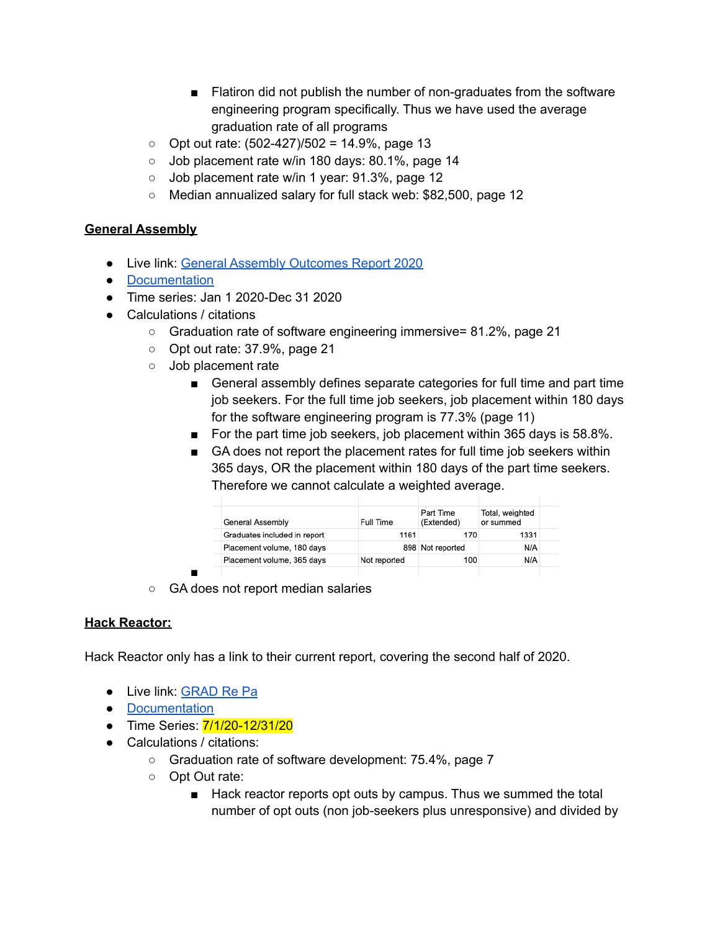- Flatiron did not publish the number of non-graduates from the software engineering program specifically. Thus we have used the average graduation rate of all programs
- $\circ$  Opt out rate: (502-427)/502 = 14.9%, page 13
- Job placement rate w/in 180 days: 80.1%, page 14
- Job placement rate w/in 1 year: 91.3%, page 12
- Median annualized salary for full stack web: \$82,500, page 12

### **General Assembly**

- Live link: General Assembly [Outcomes](https://ga-public-downloads.s3.amazonaws.com/General-Assembly-Outcomes-Report-Latest.pdf) Report 2020
- [Documentation](https://drive.google.com/file/d/1CCn5FcXrNXcgMohyIim_t_gZ_KbKSi4z/view?usp=sharing)
- Time series: Jan 1 2020-Dec 31 2020
- Calculations / citations
	- Graduation rate of software engineering immersive= 81.2%, page 21
	- Opt out rate: 37.9%, page 21
	- Job placement rate
		- General assembly defines separate categories for full time and part time job seekers. For the full time job seekers, job placement within 180 days for the software engineering program is 77.3% (page 11)
		- For the part time job seekers, job placement within 365 days is 58.8%.
		- GA does not report the placement rates for full time job seekers within 365 days, OR the placement within 180 days of the part time seekers. Therefore we cannot calculate a weighted average.

| General Assembly             | Full Time    | Part Time<br>(Extended) | Total, weighted<br>or summed |  |
|------------------------------|--------------|-------------------------|------------------------------|--|
| Graduates included in report | 1161         | 170                     | 1331                         |  |
| Placement volume, 180 days   |              | 898 Not reported        | N/A                          |  |
| Placement volume, 365 days   | Not reported | 100                     | N/A                          |  |
|                              |              |                         |                              |  |

○ GA does not report median salaries

#### **Hack Reactor:**

Hack Reactor only has a link to their current report, covering the second half of 2020.

● Live link: [GRAD](https://assets.ctfassets.net/hu62i9v1xxtm/5LyOFUxZ5n4akGQ20mggup/d68315ea63ba25fbc0554389f5633018/2020_2__GRAD_Report__final_.pdf) Re Pa

■

- [Documentation](https://drive.google.com/drive/folders/1ugwOu-tyDDK0DaU_4k5EzRyrhoEiBgrO?usp=sharing)
- Time Series: 7/1/20-12/31/20
- Calculations / citations:
	- Graduation rate of software development: 75.4%, page 7
	- Opt Out rate:
		- Hack reactor reports opt outs by campus. Thus we summed the total number of opt outs (non job-seekers plus unresponsive) and divided by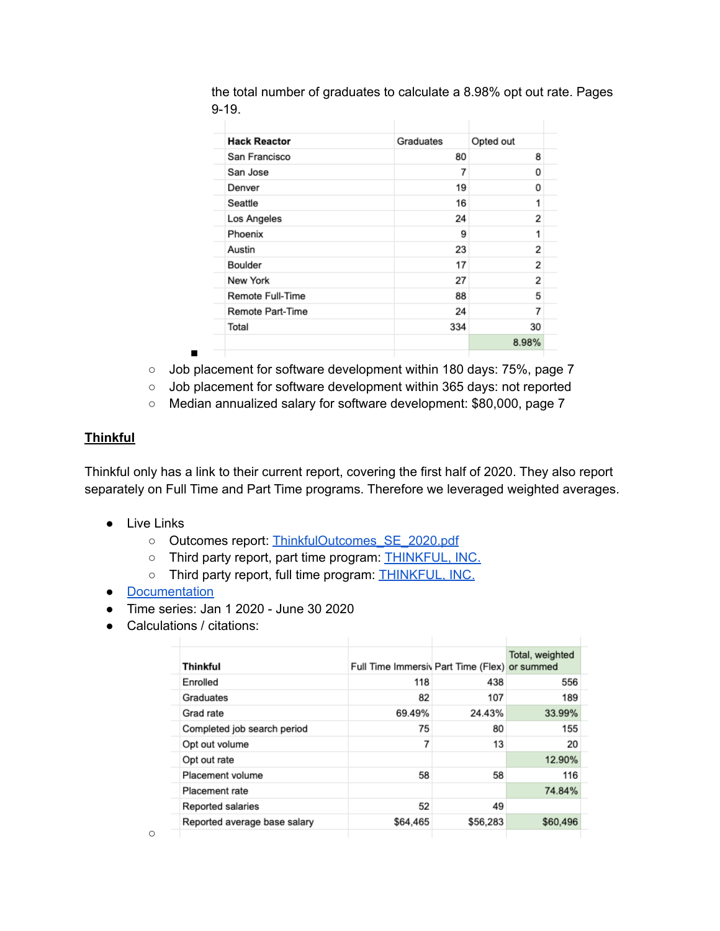| <b>Hack Reactor</b> | Graduates | Opted out      |  |
|---------------------|-----------|----------------|--|
| San Francisco       | 80        | 8              |  |
| San Jose            | 7         | 0              |  |
| Denver              | 19        | 0              |  |
| Seattle             | 16        | 1              |  |
| Los Angeles         | 24        | $\overline{2}$ |  |
| Phoenix             | 9         | 1              |  |
| Austin              | 23        | $\overline{2}$ |  |
| Boulder             | 17        | 2              |  |
| New York            | 27        | $\mathfrak{p}$ |  |
| Remote Full-Time    | 88        | 5              |  |
| Remote Part-Time    | 24        | 7              |  |
| Total               | 334       | 30             |  |
|                     |           | 8.98%          |  |
|                     |           |                |  |

the total number of graduates to calculate a 8.98% opt out rate. Pages 9-19.

- Job placement for software development within 180 days: 75%, page 7
- Job placement for software development within 365 days: not reported
- Median annualized salary for software development: \$80,000, page 7

### **Thinkful**

Thinkful only has a link to their current report, covering the first half of 2020. They also report separately on Full Time and Part Time programs. Therefore we leveraged weighted averages.

- Live Links
	- o Outcomes report: ThinkfulOutcomes SE\_2020.pdf
	- o Third party report, part time program: [THINKFUL,](https://assets.chegg.com/image/upload/v1641410509/01_CM/21/1210_Thinkful_AUP%20Reports/01_Documents/1210_Thinkful_AUPReportsEngineeringFlex.pdf) INC.
	- Third party report, full time program: [THINKFUL,](https://assets.chegg.com/image/upload/v1641410508/01_CM/21/1210_Thinkful_AUP%20Reports/01_Documents/1210_Thinkful_AUPReportsEngineeringImmersion.pdf) INC.
- [Documentation](https://drive.google.com/drive/folders/13xeuxjzm546tHXsu8jziU5loDUxH1FFp?usp=sharing)
- Time series: Jan 1 2020 June 30 2020
- Calculations / citations:

■

| Thinkful                     | Full Time Immersiv Part Time (Flex) or summed |          | Total, weighted |  |
|------------------------------|-----------------------------------------------|----------|-----------------|--|
| Enrolled                     | 118                                           | 438      | 556             |  |
| Graduates                    | 82                                            | 107      | 189             |  |
| Grad rate                    | 69.49%                                        | 24.43%   | 33.99%          |  |
| Completed job search period  | 75                                            | 80       | 155             |  |
| Opt out volume               |                                               | 13       | 20              |  |
| Opt out rate                 |                                               |          | 12.90%          |  |
| Placement volume             | 58                                            | 58       | 116             |  |
| Placement rate               |                                               |          | 74.84%          |  |
| Reported salaries            | 52                                            | 49       |                 |  |
| Reported average base salary | \$64,465                                      | \$56,283 | \$60,496        |  |
|                              |                                               |          |                 |  |